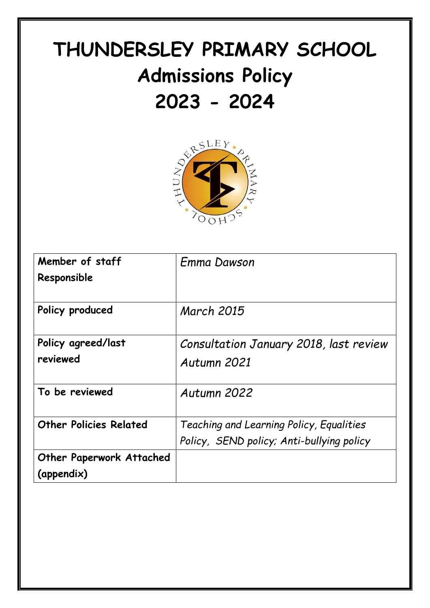# **THUNDERSLEY PRIMARY SCHOOL Admissions Policy**



| Member of staff<br>Responsible                | Emma Dawson                                                                           |
|-----------------------------------------------|---------------------------------------------------------------------------------------|
| Policy produced                               | <b>March 2015</b>                                                                     |
| Policy agreed/last<br>reviewed                | Consultation January 2018, last review<br>Autumn 2021                                 |
| To be reviewed                                | Autumn 2022                                                                           |
| <b>Other Policies Related</b>                 | Teaching and Learning Policy, Equalities<br>Policy, SEND policy; Anti-bullying policy |
| <b>Other Paperwork Attached</b><br>(appendix) |                                                                                       |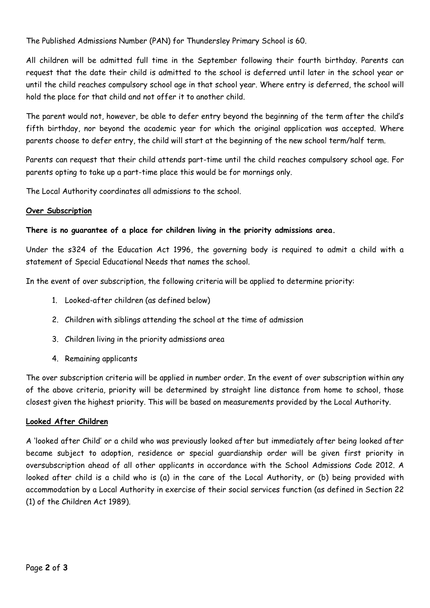The Published Admissions Number (PAN) for Thundersley Primary School is 60.

All children will be admitted full time in the September following their fourth birthday. Parents can request that the date their child is admitted to the school is deferred until later in the school year or until the child reaches compulsory school age in that school year. Where entry is deferred, the school will hold the place for that child and not offer it to another child.

The parent would not, however, be able to defer entry beyond the beginning of the term after the child's fifth birthday, nor beyond the academic year for which the original application was accepted. Where parents choose to defer entry, the child will start at the beginning of the new school term/half term.

Parents can request that their child attends part-time until the child reaches compulsory school age. For parents opting to take up a part-time place this would be for mornings only.

The Local Authority coordinates all admissions to the school.

# **Over Subscription**

# **There is no guarantee of a place for children living in the priority admissions area.**

Under the s324 of the Education Act 1996, the governing body is required to admit a child with a statement of Special Educational Needs that names the school.

In the event of over subscription, the following criteria will be applied to determine priority:

- 1. Looked-after children (as defined below)
- 2. Children with siblings attending the school at the time of admission
- 3. Children living in the priority admissions area
- 4. Remaining applicants

The over subscription criteria will be applied in number order. In the event of over subscription within any of the above criteria, priority will be determined by straight line distance from home to school, those closest given the highest priority. This will be based on measurements provided by the Local Authority.

# **Looked After Children**

A 'looked after Child' or a child who was previously looked after but immediately after being looked after became subject to adoption, residence or special guardianship order will be given first priority in oversubscription ahead of all other applicants in accordance with the School Admissions Code 2012. A looked after child is a child who is (a) in the care of the Local Authority, or (b) being provided with accommodation by a Local Authority in exercise of their social services function (as defined in Section 22 (1) of the Children Act 1989).